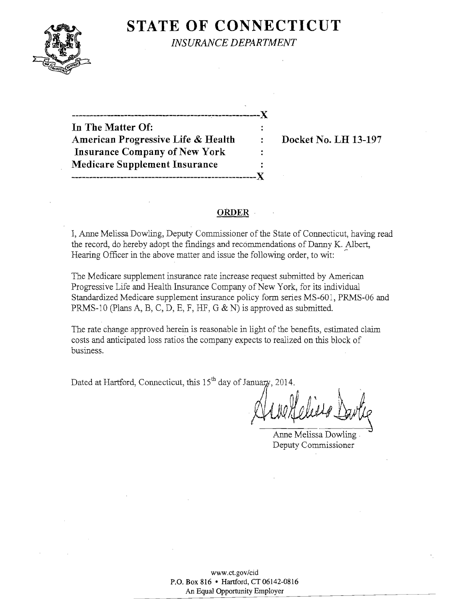

**STATE OF CONNECTICUT** 

*INSURANCE DEPARTMENT* 

 $\mathbf{x}$ 

---------------------------------------~--------------)( **In The Matter Of:** American Progressive Life & Health : Docket No. LH 13-197 **Insurance Company** of New **York Medicare Supplement Insurance -----------------------------------------------------)(** 

#### **ORDER**

I, Anne Melissa Dowling, Deputy Commissioner of the State of Connecticut, having read the record, do hereby adopt the findings and recommendations of Danny K. Albert, Hearing Officer in the above matter and issue the following order, to wit:

The Medicare supplement insurance rate increase request submitted by American Progressive Life and Health Insurance Company of New York, for its individual Standardized Medicare supplement insurance policy form series MS-601, PRMS-06 and PRMS-10 (Plans A, B, C, D, E, F, HF, G & N) is approved as submitted.

The rate change approved herein is reasonable in light of the benefits, estimated claim costs and anticipated loss ratios the company expects to realized on this block of business.

ili Dated at Fractional, Connecticut, this lS day of January, 2014.

Anne Melissa Dowling, Deputy Commissioner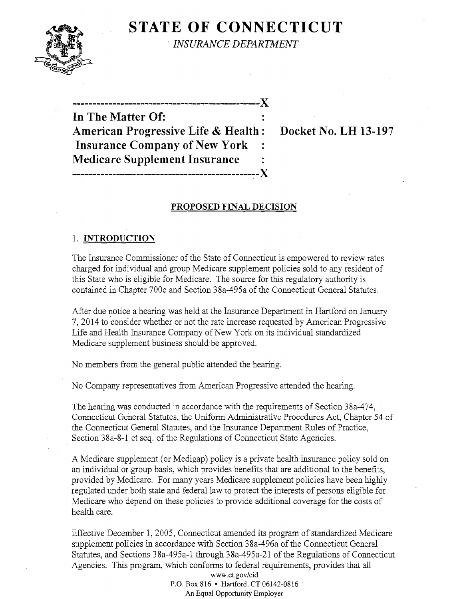# **STATE OF CONNECTICUT**



*. INSURANCE DEPARTMENT* 

**In The Matter Of: American Progressive Life & Health: Docket No. LH 13-197 Insurance Company** of New **York Medicare Supplement Insurance -----------------------------------------------)(** 

**-----------------------------------------------)(** 

## **PROPOSED FINAL DECISION**

## 1. **INTRODUCTION**

The Insurance Commissioner of the State of Connecticut is empowered to review rates charged for individual and group Medicare supplement policies sold to any resident of this State who is eligible for Medicare. The source for this regulatory authority is contained in Chapter 700c and Section 38a-495a of the Connecticut General Statutes.

After due notice a hearing was held at the Insurance Department in Hartford on January 7,2014 to consider whether or not the rate increase requested by American Progressive Life and Health Insurance Company of New York on its individual standardized Medicare supplement business should be approved.

No members from the general public attended the hearing.

No Company representatives from American Progressive attended the hearing.

The hearing was conducted in accordance with the requirements of Section 38a-474, . Connecticut General Statutes, the Uniform Administrative Procedures Act, Chapter 54 of the Connecticut General Statutes, and the Insurance Department Rules of Practice, Section 38a-8-1 et seq. of the Regulations of Connecticut State Agencies.

A Medicare supplement (or Medigap) policy is a private health insurance policy sold on an individual or group basis, which provides benefits that are additional to the benefits, provided by Medicare. For many years Medicare supplement policies have been highly regulated under both state and federal law to protect the interests of persons eligible for Medicare who depend on these policies to provide additional coverage for the costs of health care.

Effective December 1, 2005, Connecticut amended its program of standardized Medicare supplement policies in accordance with Section 38a-496a of the Connecticut General Statutes, and Sections 38a-495a-1 through 38a-495a-21 of the Regulations of Connecticut Agencies. This program, which conforms to federal requirements, provides that all

> www.ct.gov/cid P.O. Box 816 • Hartford, CT 06142-0816 · An Equal Opportunity Employer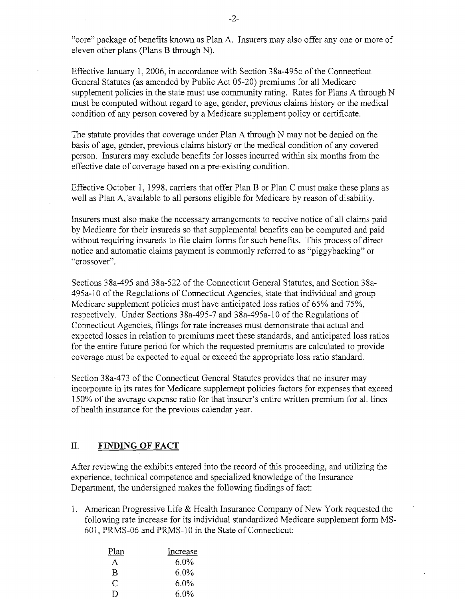"core" package of benefits known as Plan A. Insurers may also offer anyone or more of eleven other plans (plans B through N).

Effective January 1,2006, in accordance with Section 38a-495c of the Connecticut General Statutes (as amended by Public Act 05-20) premiums for all Medicare supplement policies in the state must use community rating. Rates for Plans A through N must be computed without regard to age, gender, previous claims history or the medical condition of any person covered by a Medicare supplement policy or certificate.

The statute provides that coverage under Plan A through N may not be denied on the basis of age, gender, previous claims history or the medical condition of any covered person. Insurers may exclude benefits for losses incurred within six months from the effective date of coverage based on a pre-existing condition.

Effective October 1, 1998, carriers that offer Plan B or Plan C must make these plans as well as Plan A, available to all persons eligible for Medicare by reason of disability.

Insurers must also make the necessary arrangements to receive notice of all claims paid by Medicare for their insureds so that supplemental benefits can be computed and paid without requiring insureds to file claim forms for such benefits. This process of direct notice and automatic claims payment is commonly referred to as "piggybacking" or "crossover".

Sections 38a-495 and 38a-522 of the Connecticut General Statutes, and Section 38a-495a-10 of the Regulations of Connecticut Agencies, state that individual and group Medicare supplement policies must have anticipated loss ratios of 65% and 75%, respectively. Under Sections 38a-495-7 and 38a-495a-10 of the Regulations of Connecticut Agencies, filings for rate increases must demonstrate that actual and expected losses in relation to premiums meet these standards, and anticipated loss ratios for the entire future period for which the requested premiums are calculated to provide coverage must be expected to equal or exceed the appropriate loss ratio standard.

Section 38a-473 of the Connecticut General Statutes provides that no insurer may incorporate in its rates for Medicare supplement policies factors for expenses that exceed 150% of the average expense ratio for that insurer's entire written premium for all lines of health insurance for the previous calendar year.

### II. **FINDING OF FACT**

After reviewing the exhibits entered into the record of this proceeding, and utilizing the experience, technical competence and specialized knowledge of the Insurance Department, the undersigned makes the following findings of fact:

1. American Progressive Life  $&$  Health Insurance Company of New York requested the following rate increase for its individual standardized Medicare supplement form MS-601, PRMS-06 and PRMS-10 in the State of Connecticut:

 $\bar{z}$ 

| Plan | Increase |  |
|------|----------|--|
| A    | $6.0\%$  |  |
| R    | $6.0\%$  |  |
| C    | $6.0\%$  |  |
| Ð    | $6.0\%$  |  |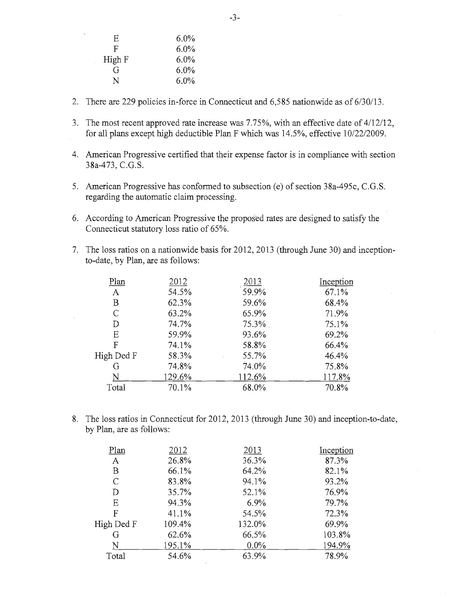| E.          | $6.0\%$ |
|-------------|---------|
| $\mathsf F$ | $6.0\%$ |
| High F      | $6.0\%$ |
| G           | $6.0\%$ |
| N           | $6.0\%$ |

- 2. There are 229 policies in-force in Connecticut and 6,585 nationwide as of 6/30/13.
- 3. The most recent approved rate increase was 7.75%, with an effective date of 4/12/12, for all plans except high deductible Plan F which was 14.5%, effective 10/22/2009.
- 4. American Progressive certified that their expense factor is in compliance with section 38a-473, C.G.S.
- 5. American Progressive has conformed to subsection (e) of section 38a-495c, C.G.S. regarding the automatic claim processing.
- 6. According to American Progressive the proposed rates are designed to satisfy the Connecticut statutory loss ratio of 65%.
- 7. The loss ratios on a nationwide basis for 2012, 2013 (through June 30) and inceptionto-date, by Plan, are as follows:

| Plan       | 2012   | 2013     | Inception |
|------------|--------|----------|-----------|
| A          | 54.5%  | 59.9%    | 67.1%     |
| B          | 62.3%  | 59.6%    | 68.4%     |
| C          | 63.2%  | 65.9%    | 71.9%     |
| D          | 74.7%  | $75.3\%$ | 75.1%     |
| Ε          | 59.9%  | 93.6%    | 69.2%     |
| F          | 74.1%  | 58.8%    | 66.4%     |
| High Ded F | 58.3%  | 55.7%    | 46.4%     |
| G          | 74.8%  | 74.0%    | 75.8%     |
| N          | 129.6% | 112.6%   | 117.8%    |
| Total      | 70.1%  | 68.0%    | 70.8%     |

8. The loss ratios in Connecticut for 2012, 2013 (through June 30) and inception-to-date, by Plan, are as follows:

| Plan       | 2012   | 2013    | Inception |
|------------|--------|---------|-----------|
| A          | 26.8%  | 36.3%   | 87.3%     |
| B          | 66.1%  | 64.2%   | 82.1%     |
| C          | 83.8%  | 94.1%   | 93.2%     |
| D          | 35.7%  | 52.1%   | 76.9%     |
| E          | 94.3%  | 6.9%    | 79.7%     |
| F          | 41.1%  | 54.5%   | 72.3%     |
| High Ded F | 109.4% | 132.0%  | 69.9%     |
| G          | 62.6%  | 66.5%   | 103.8%    |
| N          | 195.1% | $0.0\%$ | 194.9%    |
| Total      | 54.6%  | 63.9%   | 78.9%     |